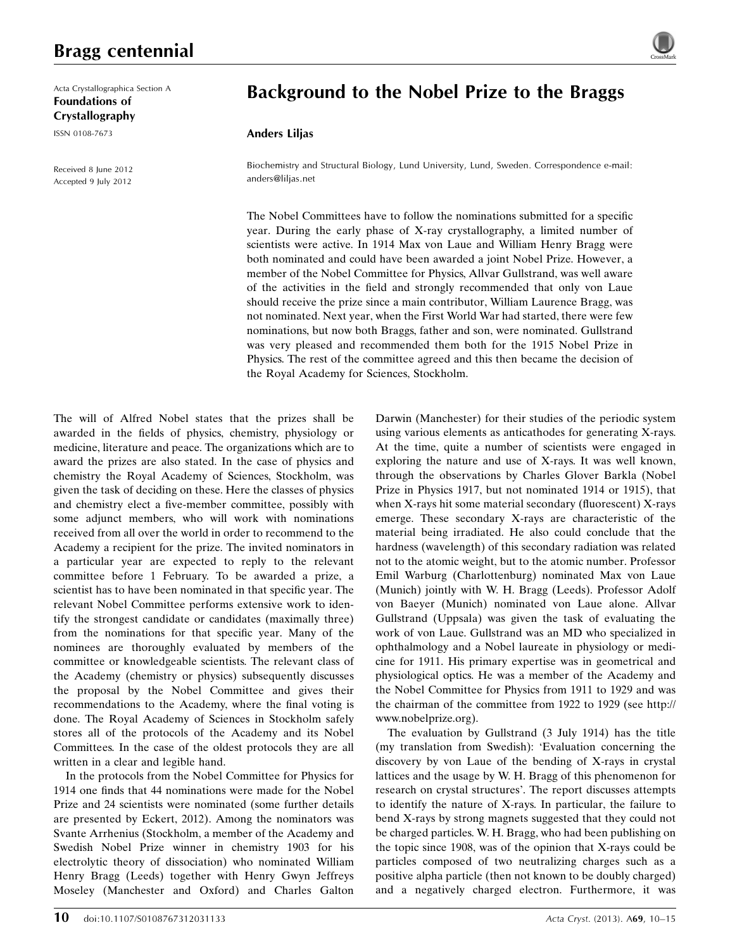# Bragg centennial

Acta Crystallographica Section A Foundations of Crystallography ISSN 0108-7673

Received 8 June 2012 Accepted 9 July 2012

# Background to the Nobel Prize to the Braggs

### Anders Liljas

Biochemistry and Structural Biology, Lund University, Lund, Sweden. Correspondence e-mail: [anders@liljas.net](http://scripts.iucr.org/cgi-bin/cr.cgi?rm=pdfbb&cnor=wl5166&bbid=BB26)

The Nobel Committees have to follow the nominations submitted for a specific year. During the early phase of X-ray crystallography, a limited number of scientists were active. In 1914 Max von Laue and William Henry Bragg were both nominated and could have been awarded a joint Nobel Prize. However, a member of the Nobel Committee for Physics, Allvar Gullstrand, was well aware of the activities in the field and strongly recommended that only von Laue should receive the prize since a main contributor, William Laurence Bragg, was not nominated. Next year, when the First World War had started, there were few nominations, but now both Braggs, father and son, were nominated. Gullstrand was very pleased and recommended them both for the 1915 Nobel Prize in Physics. The rest of the committee agreed and this then became the decision of the Royal Academy for Sciences, Stockholm.

The will of Alfred Nobel states that the prizes shall be awarded in the fields of physics, chemistry, physiology or medicine, literature and peace. The organizations which are to award the prizes are also stated. In the case of physics and chemistry the Royal Academy of Sciences, Stockholm, was given the task of deciding on these. Here the classes of physics and chemistry elect a five-member committee, possibly with some adjunct members, who will work with nominations received from all over the world in order to recommend to the Academy a recipient for the prize. The invited nominators in a particular year are expected to reply to the relevant committee before 1 February. To be awarded a prize, a scientist has to have been nominated in that specific year. The relevant Nobel Committee performs extensive work to identify the strongest candidate or candidates (maximally three) from the nominations for that specific year. Many of the nominees are thoroughly evaluated by members of the committee or knowledgeable scientists. The relevant class of the Academy (chemistry or physics) subsequently discusses the proposal by the Nobel Committee and gives their recommendations to the Academy, where the final voting is done. The Royal Academy of Sciences in Stockholm safely stores all of the protocols of the Academy and its Nobel Committees. In the case of the oldest protocols they are all written in a clear and legible hand.

In the protocols from the Nobel Committee for Physics for 1914 one finds that 44 nominations were made for the Nobel Prize and 24 scientists were nominated (some further details are presented by Eckert, 2012). Among the nominators was Svante Arrhenius (Stockholm, a member of the Academy and Swedish Nobel Prize winner in chemistry 1903 for his electrolytic theory of dissociation) who nominated William Henry Bragg (Leeds) together with Henry Gwyn Jeffreys Moseley (Manchester and Oxford) and Charles Galton

Darwin (Manchester) for their studies of the periodic system using various elements as anticathodes for generating X-rays. At the time, quite a number of scientists were engaged in exploring the nature and use of X-rays. It was well known, through the observations by Charles Glover Barkla (Nobel Prize in Physics 1917, but not nominated 1914 or 1915), that when X-rays hit some material secondary (fluorescent) X-rays emerge. These secondary X-rays are characteristic of the material being irradiated. He also could conclude that the hardness (wavelength) of this secondary radiation was related not to the atomic weight, but to the atomic number. Professor Emil Warburg (Charlottenburg) nominated Max von Laue (Munich) jointly with W. H. Bragg (Leeds). Professor Adolf von Baeyer (Munich) nominated von Laue alone. Allvar Gullstrand (Uppsala) was given the task of evaluating the work of von Laue. Gullstrand was an MD who specialized in ophthalmology and a Nobel laureate in physiology or medicine for 1911. His primary expertise was in geometrical and physiological optics. He was a member of the Academy and the Nobel Committee for Physics from 1911 to 1929 and was the chairman of the committee from 1922 to 1929 (see http:// www.nobelprize.org).

The evaluation by Gullstrand (3 July 1914) has the title (my translation from Swedish): 'Evaluation concerning the discovery by von Laue of the bending of X-rays in crystal lattices and the usage by W. H. Bragg of this phenomenon for research on crystal structures'. The report discusses attempts to identify the nature of X-rays. In particular, the failure to bend X-rays by strong magnets suggested that they could not be charged particles. W. H. Bragg, who had been publishing on the topic since 1908, was of the opinion that X-rays could be particles composed of two neutralizing charges such as a positive alpha particle (then not known to be doubly charged) and a negatively charged electron. Furthermore, it was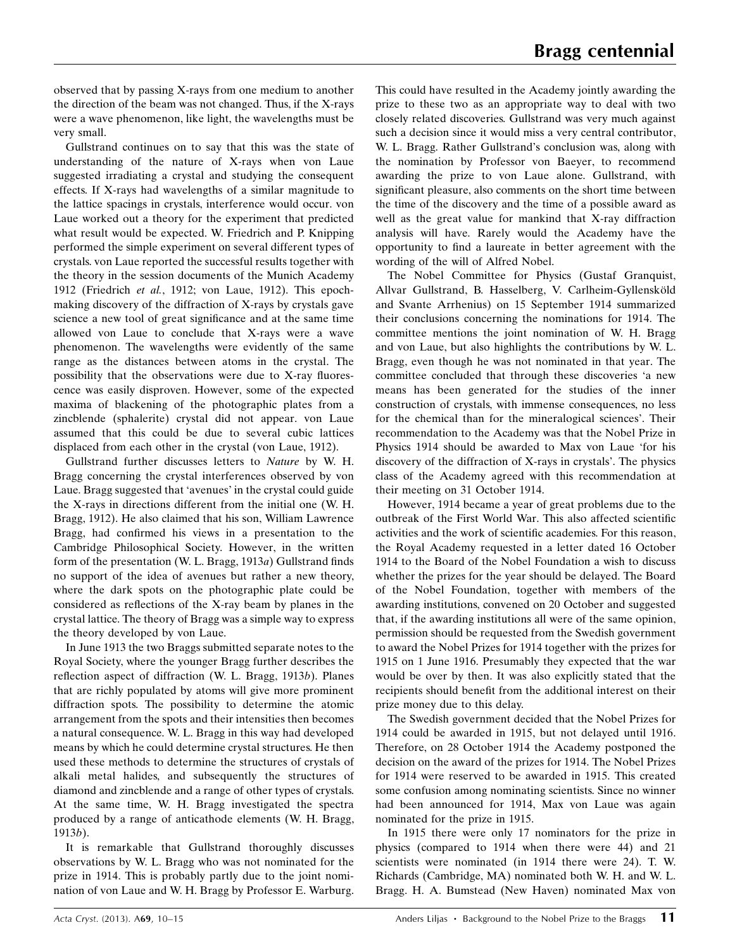observed that by passing X-rays from one medium to another the direction of the beam was not changed. Thus, if the X-rays were a wave phenomenon, like light, the wavelengths must be very small.

Gullstrand continues on to say that this was the state of understanding of the nature of X-rays when von Laue suggested irradiating a crystal and studying the consequent effects. If X-rays had wavelengths of a similar magnitude to the lattice spacings in crystals, interference would occur. von Laue worked out a theory for the experiment that predicted what result would be expected. W. Friedrich and P. Knipping performed the simple experiment on several different types of crystals. von Laue reported the successful results together with the theory in the session documents of the Munich Academy 1912 (Friedrich et al., 1912; von Laue, 1912). This epochmaking discovery of the diffraction of X-rays by crystals gave science a new tool of great significance and at the same time allowed von Laue to conclude that X-rays were a wave phenomenon. The wavelengths were evidently of the same range as the distances between atoms in the crystal. The possibility that the observations were due to X-ray fluorescence was easily disproven. However, some of the expected maxima of blackening of the photographic plates from a zincblende (sphalerite) crystal did not appear. von Laue assumed that this could be due to several cubic lattices displaced from each other in the crystal (von Laue, 1912).

Gullstrand further discusses letters to Nature by W. H. Bragg concerning the crystal interferences observed by von Laue. Bragg suggested that 'avenues' in the crystal could guide the X-rays in directions different from the initial one (W. H. Bragg, 1912). He also claimed that his son, William Lawrence Bragg, had confirmed his views in a presentation to the Cambridge Philosophical Society. However, in the written form of the presentation (W. L. Bragg, 1913a) Gullstrand finds no support of the idea of avenues but rather a new theory, where the dark spots on the photographic plate could be considered as reflections of the X-ray beam by planes in the crystal lattice. The theory of Bragg was a simple way to express the theory developed by von Laue.

In June 1913 the two Braggs submitted separate notes to the Royal Society, where the younger Bragg further describes the reflection aspect of diffraction (W. L. Bragg, 1913b). Planes that are richly populated by atoms will give more prominent diffraction spots. The possibility to determine the atomic arrangement from the spots and their intensities then becomes a natural consequence. W. L. Bragg in this way had developed means by which he could determine crystal structures. He then used these methods to determine the structures of crystals of alkali metal halides, and subsequently the structures of diamond and zincblende and a range of other types of crystals. At the same time, W. H. Bragg investigated the spectra produced by a range of anticathode elements (W. H. Bragg, 1913b).

It is remarkable that Gullstrand thoroughly discusses observations by W. L. Bragg who was not nominated for the prize in 1914. This is probably partly due to the joint nomination of von Laue and W. H. Bragg by Professor E. Warburg.

This could have resulted in the Academy jointly awarding the prize to these two as an appropriate way to deal with two closely related discoveries. Gullstrand was very much against such a decision since it would miss a very central contributor, W. L. Bragg. Rather Gullstrand's conclusion was, along with the nomination by Professor von Baeyer, to recommend awarding the prize to von Laue alone. Gullstrand, with significant pleasure, also comments on the short time between the time of the discovery and the time of a possible award as well as the great value for mankind that X-ray diffraction analysis will have. Rarely would the Academy have the opportunity to find a laureate in better agreement with the wording of the will of Alfred Nobel.

The Nobel Committee for Physics (Gustaf Granquist, Allvar Gullstrand, B. Hasselberg, V. Carlheim-Gyllensköld and Svante Arrhenius) on 15 September 1914 summarized their conclusions concerning the nominations for 1914. The committee mentions the joint nomination of W. H. Bragg and von Laue, but also highlights the contributions by W. L. Bragg, even though he was not nominated in that year. The committee concluded that through these discoveries 'a new means has been generated for the studies of the inner construction of crystals, with immense consequences, no less for the chemical than for the mineralogical sciences'. Their recommendation to the Academy was that the Nobel Prize in Physics 1914 should be awarded to Max von Laue 'for his discovery of the diffraction of X-rays in crystals'. The physics class of the Academy agreed with this recommendation at their meeting on 31 October 1914.

However, 1914 became a year of great problems due to the outbreak of the First World War. This also affected scientific activities and the work of scientific academies. For this reason, the Royal Academy requested in a letter dated 16 October 1914 to the Board of the Nobel Foundation a wish to discuss whether the prizes for the year should be delayed. The Board of the Nobel Foundation, together with members of the awarding institutions, convened on 20 October and suggested that, if the awarding institutions all were of the same opinion, permission should be requested from the Swedish government to award the Nobel Prizes for 1914 together with the prizes for 1915 on 1 June 1916. Presumably they expected that the war would be over by then. It was also explicitly stated that the recipients should benefit from the additional interest on their prize money due to this delay.

The Swedish government decided that the Nobel Prizes for 1914 could be awarded in 1915, but not delayed until 1916. Therefore, on 28 October 1914 the Academy postponed the decision on the award of the prizes for 1914. The Nobel Prizes for 1914 were reserved to be awarded in 1915. This created some confusion among nominating scientists. Since no winner had been announced for 1914, Max von Laue was again nominated for the prize in 1915.

In 1915 there were only 17 nominators for the prize in physics (compared to 1914 when there were 44) and 21 scientists were nominated (in 1914 there were 24). T. W. Richards (Cambridge, MA) nominated both W. H. and W. L. Bragg. H. A. Bumstead (New Haven) nominated Max von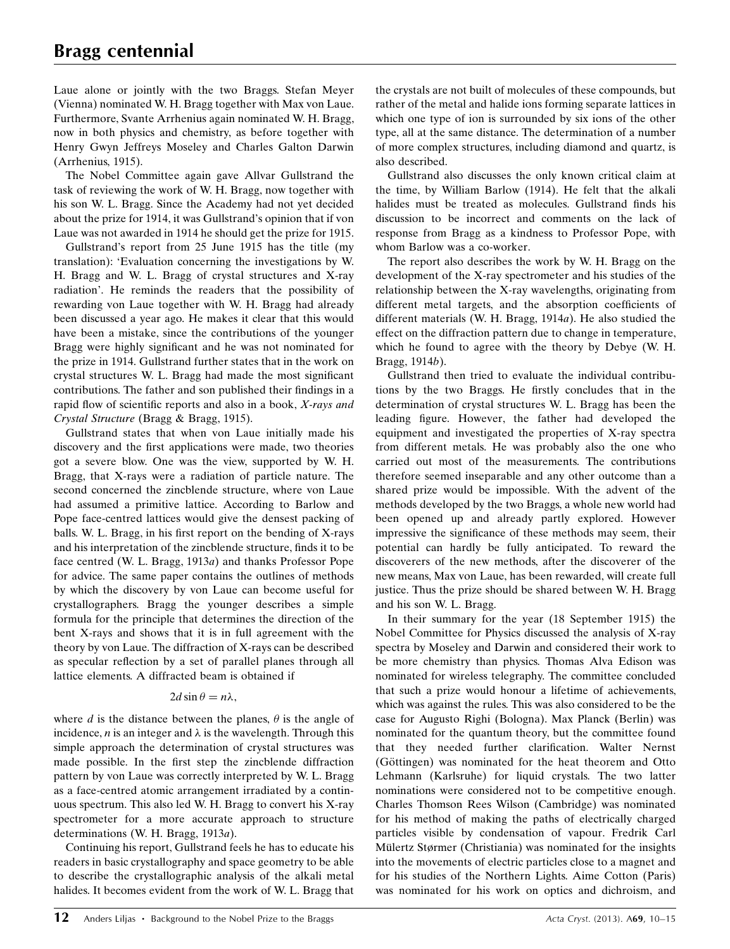Laue alone or jointly with the two Braggs. Stefan Meyer (Vienna) nominated W. H. Bragg together with Max von Laue. Furthermore, Svante Arrhenius again nominated W. H. Bragg, now in both physics and chemistry, as before together with Henry Gwyn Jeffreys Moseley and Charles Galton Darwin (Arrhenius, 1915).

The Nobel Committee again gave Allvar Gullstrand the task of reviewing the work of W. H. Bragg, now together with his son W. L. Bragg. Since the Academy had not yet decided about the prize for 1914, it was Gullstrand's opinion that if von Laue was not awarded in 1914 he should get the prize for 1915.

Gullstrand's report from 25 June 1915 has the title (my translation): 'Evaluation concerning the investigations by W. H. Bragg and W. L. Bragg of crystal structures and X-ray radiation'. He reminds the readers that the possibility of rewarding von Laue together with W. H. Bragg had already been discussed a year ago. He makes it clear that this would have been a mistake, since the contributions of the younger Bragg were highly significant and he was not nominated for the prize in 1914. Gullstrand further states that in the work on crystal structures W. L. Bragg had made the most significant contributions. The father and son published their findings in a rapid flow of scientific reports and also in a book, X-rays and Crystal Structure (Bragg & Bragg, 1915).

Gullstrand states that when von Laue initially made his discovery and the first applications were made, two theories got a severe blow. One was the view, supported by W. H. Bragg, that X-rays were a radiation of particle nature. The second concerned the zincblende structure, where von Laue had assumed a primitive lattice. According to Barlow and Pope face-centred lattices would give the densest packing of balls. W. L. Bragg, in his first report on the bending of X-rays and his interpretation of the zincblende structure, finds it to be face centred (W. L. Bragg, 1913a) and thanks Professor Pope for advice. The same paper contains the outlines of methods by which the discovery by von Laue can become useful for crystallographers. Bragg the younger describes a simple formula for the principle that determines the direction of the bent X-rays and shows that it is in full agreement with the theory by von Laue. The diffraction of X-rays can be described as specular reflection by a set of parallel planes through all lattice elements. A diffracted beam is obtained if

### $2d \sin \theta = n\lambda,$

where *d* is the distance between the planes,  $\theta$  is the angle of incidence, *n* is an integer and  $\lambda$  is the wavelength. Through this simple approach the determination of crystal structures was made possible. In the first step the zincblende diffraction pattern by von Laue was correctly interpreted by W. L. Bragg as a face-centred atomic arrangement irradiated by a continuous spectrum. This also led W. H. Bragg to convert his X-ray spectrometer for a more accurate approach to structure determinations (W. H. Bragg, 1913a).

Continuing his report, Gullstrand feels he has to educate his readers in basic crystallography and space geometry to be able to describe the crystallographic analysis of the alkali metal halides. It becomes evident from the work of W. L. Bragg that the crystals are not built of molecules of these compounds, but rather of the metal and halide ions forming separate lattices in which one type of ion is surrounded by six ions of the other type, all at the same distance. The determination of a number of more complex structures, including diamond and quartz, is also described.

Gullstrand also discusses the only known critical claim at the time, by William Barlow (1914). He felt that the alkali halides must be treated as molecules. Gullstrand finds his discussion to be incorrect and comments on the lack of response from Bragg as a kindness to Professor Pope, with whom Barlow was a co-worker.

The report also describes the work by W. H. Bragg on the development of the X-ray spectrometer and his studies of the relationship between the X-ray wavelengths, originating from different metal targets, and the absorption coefficients of different materials (W. H. Bragg, 1914a). He also studied the effect on the diffraction pattern due to change in temperature, which he found to agree with the theory by Debye (W. H. Bragg, 1914b).

Gullstrand then tried to evaluate the individual contributions by the two Braggs. He firstly concludes that in the determination of crystal structures W. L. Bragg has been the leading figure. However, the father had developed the equipment and investigated the properties of X-ray spectra from different metals. He was probably also the one who carried out most of the measurements. The contributions therefore seemed inseparable and any other outcome than a shared prize would be impossible. With the advent of the methods developed by the two Braggs, a whole new world had been opened up and already partly explored. However impressive the significance of these methods may seem, their potential can hardly be fully anticipated. To reward the discoverers of the new methods, after the discoverer of the new means, Max von Laue, has been rewarded, will create full justice. Thus the prize should be shared between W. H. Bragg and his son W. L. Bragg.

In their summary for the year (18 September 1915) the Nobel Committee for Physics discussed the analysis of X-ray spectra by Moseley and Darwin and considered their work to be more chemistry than physics. Thomas Alva Edison was nominated for wireless telegraphy. The committee concluded that such a prize would honour a lifetime of achievements, which was against the rules. This was also considered to be the case for Augusto Righi (Bologna). Max Planck (Berlin) was nominated for the quantum theory, but the committee found that they needed further clarification. Walter Nernst (Göttingen) was nominated for the heat theorem and Otto Lehmann (Karlsruhe) for liquid crystals. The two latter nominations were considered not to be competitive enough. Charles Thomson Rees Wilson (Cambridge) was nominated for his method of making the paths of electrically charged particles visible by condensation of vapour. Fredrik Carl Mülertz Størmer (Christiania) was nominated for the insights into the movements of electric particles close to a magnet and for his studies of the Northern Lights. Aime Cotton (Paris) was nominated for his work on optics and dichroism, and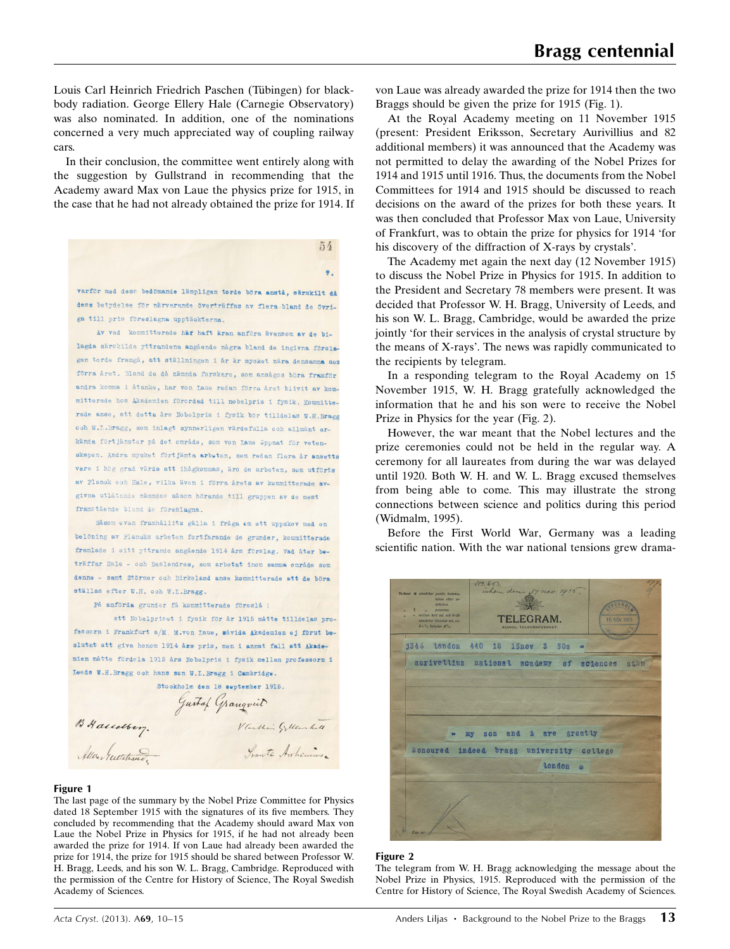Louis Carl Heinrich Friedrich Paschen (Tübingen) for blackbody radiation. George Ellery Hale (Carnegie Observatory) was also nominated. In addition, one of the nominations concerned a very much appreciated way of coupling railway cars.

In their conclusion, the committee went entirely along with the suggestion by Gullstrand in recommending that the Academy award Max von Laue the physics prize for 1915, in the case that he had not already obtained the prize for 1914. If

varför med dess bedömande lämpligen torde böra anstå, särskilt då dess betydelse för närvarande överträffas av flera bland de övriga till pris föreslagna upptäckterna.

54

 $\overline{2}$ 

Av vad kommitterade här haft äran anföra ävensom av de bilagda särskilda yttrandena angående några bland de ingivna förslagen torde framgå, att ställningen i år är mycket nära densamma som förra året. Bland de då nämnda forskare, som ansågos böra framför andra komma i åtanke, har von Laue redan förra året blivit av kommitterade hos Akademien förordad till nobelpris i fysik. Kommitterade anse, att detta års Nobelpris i fysik bör tilldelas W.H. Bragg och W.I.Bragg, som inlagt synnerligen värdefulla och allmänt arkända förtjänster på det område, som von Laue Spynat för vetenskapen. Andra mycket förtjänta arbeten, som redan flera år ansetts vara i hög grad värda att ihågkommas, äro de arbeten, som utförts av Planck och Hale, vilka även i förra årets av kommitterade avgivna utlåtende nämndes såsom hörande till gruppen av de mest framstående bland de föreslagna.

Såsom ovan framhållits gälla i fråga em ett uppskov med en belöning av Plancks arbeten fortfarande de grunder, kommitterade framlade i sitt yttrande angående 1914 års förslag. Vad åter beträffar Hale - och Deslandres, som arbetat inom samma område som denne - samt Störmer och Birkeland anse kommitterade att de böra ställas efter W.H. och W.L.Bragg.

På anförda grunder få kommitterade föreslå :

att Nobelpriset i fysik för år 1915 måtte tilldelas professorn i Frankfurt a/M. M.von Laue, sávida Akademien ej förut beslutat att giva honom 1914 års pris, men i annat fall att Akademien måtte fördela 1915 års Nobelpris i fysik mellan professorn i Leeds W.H. Bragg och hans son W.L. Bragg i Cambridge.

> Stockholm den 18 september 1915. Gustaf Grangvill<br>Vandri Gillenhall

> > South Arhemins.

B Hauelberg. Allen Seutetrand.

#### Figure 1

The last page of the summary by the Nobel Prize Committee for Physics dated 18 September 1915 with the signatures of its five members. They concluded by recommending that the Academy should award Max von Laue the Nobel Prize in Physics for 1915, if he had not already been awarded the prize for 1914. If von Laue had already been awarded the prize for 1914, the prize for 1915 should be shared between Professor W. H. Bragg, Leeds, and his son W. L. Bragg, Cambridge. Reproduced with the permission of the Centre for History of Science, The Royal Swedish Academy of Sciences.

von Laue was already awarded the prize for 1914 then the two Braggs should be given the prize for 1915 (Fig. 1).

At the Royal Academy meeting on 11 November 1915 (present: President Eriksson, Secretary Aurivillius and 82 additional members) it was announced that the Academy was not permitted to delay the awarding of the Nobel Prizes for 1914 and 1915 until 1916. Thus, the documents from the Nobel Committees for 1914 and 1915 should be discussed to reach decisions on the award of the prizes for both these years. It was then concluded that Professor Max von Laue, University of Frankfurt, was to obtain the prize for physics for 1914 'for his discovery of the diffraction of X-rays by crystals'.

The Academy met again the next day (12 November 1915) to discuss the Nobel Prize in Physics for 1915. In addition to the President and Secretary 78 members were present. It was decided that Professor W. H. Bragg, University of Leeds, and his son W. L. Bragg, Cambridge, would be awarded the prize jointly 'for their services in the analysis of crystal structure by the means of X-rays'. The news was rapidly communicated to the recipients by telegram.

In a responding telegram to the Royal Academy on 15 November 1915, W. H. Bragg gratefully acknowledged the information that he and his son were to receive the Nobel Prize in Physics for the year (Fig. 2).

However, the war meant that the Nobel lectures and the prize ceremonies could not be held in the regular way. A ceremony for all laureates from during the war was delayed until 1920. Both W. H. and W. L. Bragg excused themselves from being able to come. This may illustrate the strong connections between science and politics during this period (Widmalm, 1995).

Before the First World War, Germany was a leading scientific nation. With the war national tensions grew drama-



#### Figure 2

The telegram from W. H. Bragg acknowledging the message about the Nobel Prize in Physics, 1915. Reproduced with the permission of the Centre for History of Science, The Royal Swedish Academy of Sciences.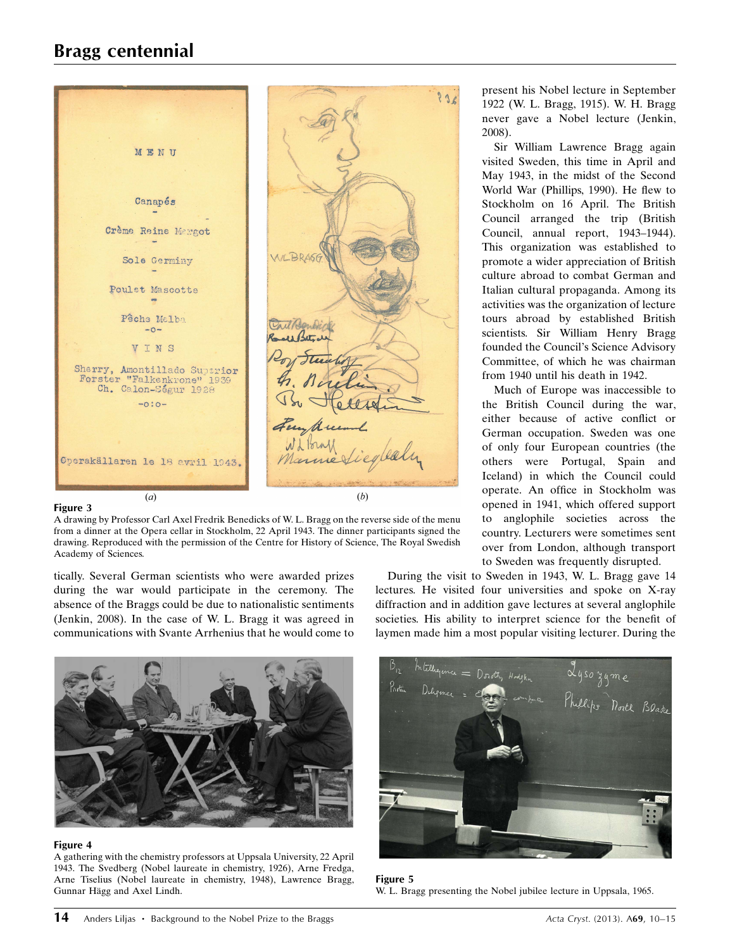## Bragg centennial

MENU Canapés Crème Reine Margot Sole Germiny Poulet Mascotte Pêche Malba Carl Benefint  $-0$ ald straly VINS Sherry, Amontillado Superior Forster "Falkenkrone" 1939 Buil Ch. Calon-Ségur 1928  $-0:0-$ Operakällaren le 18 avril 1943.  $(b)$  $(a)$ 

#### Figure 3

A drawing by Professor Carl Axel Fredrik Benedicks of W. L. Bragg on the reverse side of the menu from a dinner at the Opera cellar in Stockholm, 22 April 1943. The dinner participants signed the drawing. Reproduced with the permission of the Centre for History of Science, The Royal Swedish Academy of Sciences.

tically. Several German scientists who were awarded prizes during the war would participate in the ceremony. The absence of the Braggs could be due to nationalistic sentiments (Jenkin, 2008). In the case of W. L. Bragg it was agreed in communications with Svante Arrhenius that he would come to

present his Nobel lecture in September 1922 (W. L. Bragg, 1915). W. H. Bragg never gave a Nobel lecture (Jenkin, 2008).

232

Sir William Lawrence Bragg again visited Sweden, this time in April and May 1943, in the midst of the Second World War (Phillips, 1990). He flew to Stockholm on 16 April. The British Council arranged the trip (British Council, annual report, 1943–1944). This organization was established to promote a wider appreciation of British culture abroad to combat German and Italian cultural propaganda. Among its activities was the organization of lecture tours abroad by established British scientists. Sir William Henry Bragg founded the Council's Science Advisory Committee, of which he was chairman from 1940 until his death in 1942.

Much of Europe was inaccessible to the British Council during the war, either because of active conflict or German occupation. Sweden was one of only four European countries (the others were Portugal, Spain and Iceland) in which the Council could operate. An office in Stockholm was opened in 1941, which offered support to anglophile societies across the country. Lecturers were sometimes sent over from London, although transport to Sweden was frequently disrupted.

#### Figure 4

A gathering with the chemistry professors at Uppsala University, 22 April 1943. The Svedberg (Nobel laureate in chemistry, 1926), Arne Fredga, Arne Tiselius (Nobel laureate in chemistry, 1948), Lawrence Bragg, Gunnar Hägg and Axel Lindh.

During the visit to Sweden in 1943, W. L. Bragg gave 14 lectures. He visited four universities and spoke on X-ray diffraction and in addition gave lectures at several anglophile societies. His ability to interpret science for the benefit of laymen made him a most popular visiting lecturer. During the



Figure 5 W. L. Bragg presenting the Nobel jubilee lecture in Uppsala, 1965.